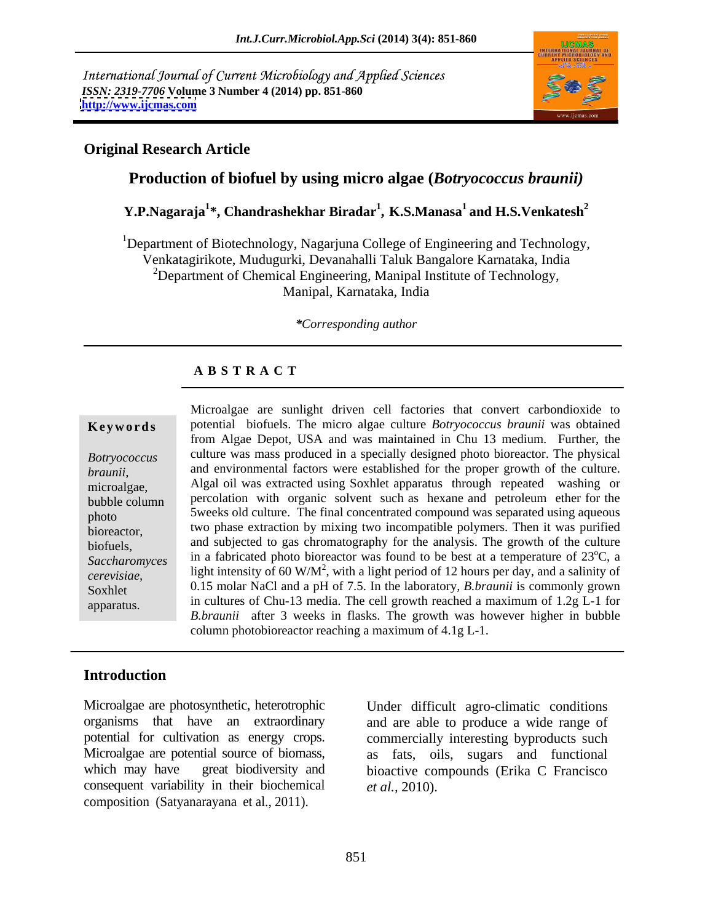International Journal of Current Microbiology and Applied Sciences *ISSN: 2319-7706* **Volume 3 Number 4 (2014) pp. 851-860 <http://www.ijcmas.com>**



## **Original Research Article**

## **Production of biofuel by using micro algae (***Botryococcus braunii)*

### $\mathbf{Y}.\mathbf{P}.\mathbf{N}$ agaraja $^{1*},$  Chandrashekhar Biradar $^{1},$  K.S.Manasa $^{1}$  and H.S.Venkatesh $^{2}$ **and H.S.Venkatesh<sup>2</sup>**

<sup>1</sup>Department of Biotechnology, Nagarjuna College of Engineering and Technology, Venkatagirikote, Mudugurki, Devanahalli Taluk Bangalore Karnataka, India  $2D$ epartment of Chemical Engineering, Manipal Institute of Technology, Manipal, Karnataka, India

*\*Corresponding author* 

### **A B S T R A C T**

**Ke ywo rds** potential biofuels. The micro algae culture *Botryococcus braunii* was obtained *Botryococcus*  culture was mass produced in a specially designed photo bioreactor. The physical *braunii*, and environmental factors were established for the proper growth of the culture. microalgae, Algal oil was extracted using Soxhlet apparatus through repeated washing or bubble column percolation with organic solvent such as hexane and petroleum ether for the photo 5weeks old culture. The final concentrated compound was separated using aqueous bioreactor, two phase extraction by mixing two incompatible polymers. Then it was purified biofuels, and subjected to gas chromatography for the analysis. The growth of the culture *Saccharomyces* in a fabricated photo bioreactor was found to be best at a temperature of 23<sup>o</sup>C, a *cerevisiae*, light intensity of 60 W/M<sup>2</sup>, with a light period of 12 hours per day, and a salinity of Soxhlet 0.15 molar NaCl and a pH of 7.5. In the laboratory, *B.braunii* is commonly grown apparatus. in cultures of Chu-13 media. The cell growth reached a maximum of 1.2g L-1 for Microalgae are sunlight driven cell factories that convert carbondioxide to from Algae Depot, USA and was maintained in Chu 13 medium. Further, the  $^{\circ}C$ , a *B.braunii* after 3 weeks in flasks. The growth was however higher in bubble column photobioreactor reaching a maximum of 4.1g L-1.

## **Introduction**

Microalgae are photosynthetic, heterotrophic consequent variability in their biochemical *et al.*, 2010). composition (Satyanarayana et al., 2011).

organisms that have an extraordinary and are able to produce awide range of potential for cultivation as energy crops. commercially interesting byproducts such Microalgae are potential source of biomass, as fats, oils, sugars and functional which may have great biodiversity and bioactive compounds (Erika C Francisco Under difficult agro-climatic conditions *et al.,* 2010).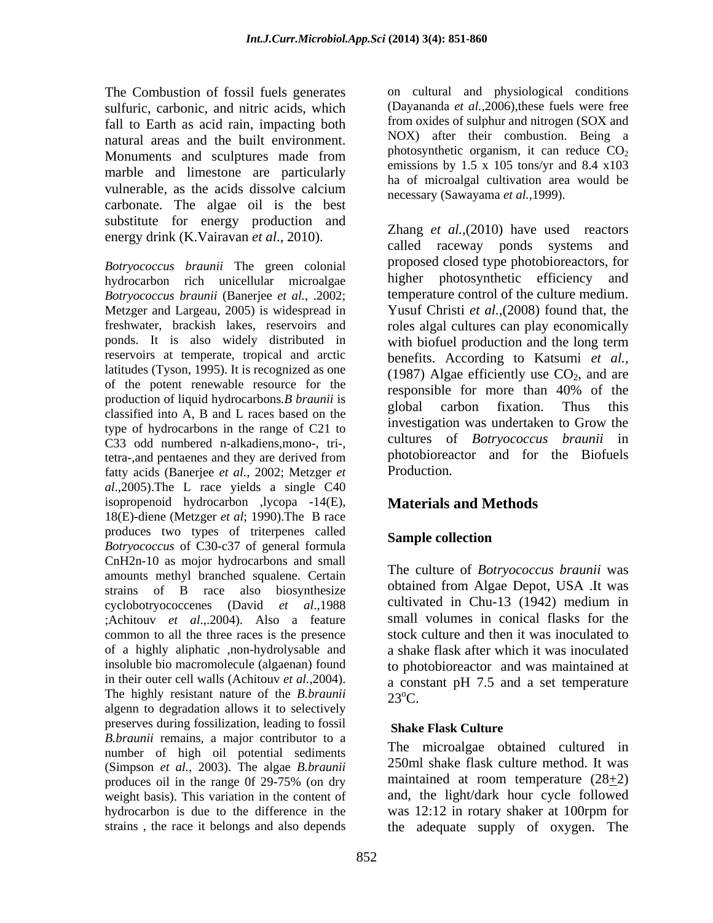The Combustion of fossil fuels generates sulfuric, carbonic, and nitric acids, which fall to Earth as acid rain, impacting both natural areas and the built environment. Monuments and sculptures made from  $\mu$  photosynthetic organism, it can reduce  $CO_2$ marble and limestone are particularly vulnerable, as the acids dissolve calcium<br>necessary  $(Sawawama)$  at al. 1999) carbonate. The algae oil is the best substitute for energy production and

*Botryococcus braunii* The green colonial hydrocarbon rich unicellular microalgae *Botryococcus braunii* (Banerjee *et al.*, .2002; reservoirs at temperate, tropical and arctic latitudes (Tyson, 1995). It is recognized as one of the potent renewable resource for the responsible for more than  $40\%$  of the production of liquid hydrocarbons.*B braunii* is **global carbon** fixation. Thus this classified into A, B and L races based on the type of hydrocarbons in the range of C21 to fatty acids (Banerjee *et al.,* 2002; Metzger *et al*.,2005).The L race yields a single C40 isopropenoid hydrocarbon ,lycopa  $-14(E)$ , **Materials and Methods** 18(E)-diene (Metzger *et al*; 1990).The B race produces two types of triterpenes called<br> **Sample collection** *Botryococcus* of C30-c37 of general formula CnH2n-10 as mojor hydrocarbons and small amounts methyl branched squalene. Certain strains of B race also biosynthesize buttained from Algae Depot, USA It was<br>cyclopotryococcenes (David *et al* 1988 cultivated in Chu-13 (1942) medium in cyclobotryococcenes (David *et al*.,1988 ;Achitouv *et al*.,.2004). Also a feature common to all the three races is the presence of a highly aliphatic ,non-hydrolysable and a shake flask after which it was inoculated insoluble bio macromolecule (algaenan) found to photobioreactor and was maintained at in their outer cell walls (Achitouv *et al.,*2004). The highly resistant nature of the *B.braunii* algenn to degradation allows it to selectively preserves during fossilization, leading to fossil Shake Flask Culture *B.braunii* remains, a major contributor to a number of high oil potential sediments (Simpson *et al.,* 2003). The algae *B.braunii* produces oil in the range 0f 29-75% (on dry weight basis). This variation in the content of hydrocarbon is due to the difference in the was 12:12 in rotary shaker at 100rpm for

on cultural and physiological conditions (Dayananda *et al.,*2006),these fuels were free from oxides of sulphur and nitrogen (SOX and NOX) after their combustion. Being a photosynthetic organism, it can reduce  $CO<sub>2</sub>$ emissions by  $1.5 \times 105$  tons/yr and  $8.4 \times 103$ ha of microalgal cultivation area would be necessary (Sawayama *et al.,*1999).

energy drink (K.Vairavan *et al.*, 2010).<br>
called raceway ponds systems and Metzger and Largeau, 2005) is widespread in Yusuf Christi *et al.,*(2008) found that, the freshwater, brackish lakes, reservoirs and roles algal cultures can play economically ponds. It is also widely distributed in with biofuel production and the long term C33 odd numbered n-alkadiens,mono-, tri-,<br>tetra-,and pentaenes and they are derived from the photobioreactor and for the Biofuels Zhang *et al.,*(2010) have used reactors called raceway ponds systems proposed closed type photobioreactors, for higher photosynthetic efficiency and temperature control of the culture medium. benefits. According to Katsumi *et al.,* (1987) Algae efficiently use  $CO<sub>2</sub>$ , and are responsible for more than 40% of the global carbon fixation. Thus this investigation was undertaken to Grow the cultures of *Botryococcus braunii* in photobioreactor and for the Biofuels Production.

## **Materials and Methods**

## **Sample collection**

The culture of *Botryococcus braunii* was obtained from Algae Depot, USA .It was cultivated in Chu-13 (1942) medium in small volumes in conical flasks for the stock culture and then it was inoculated to a constant pH 7.5 and a set temperature  $23^{\circ}$ C.

## **Shake Flask Culture**

strains , the race it belongs and also depends the adequate supply of oxygen. The The microalgae obtained cultured in 250ml shake flask culture method. It was maintained at room temperature  $(28+2)$ and, the light/dark hour cycle followed was 12:12 in rotary shaker at 100rpm for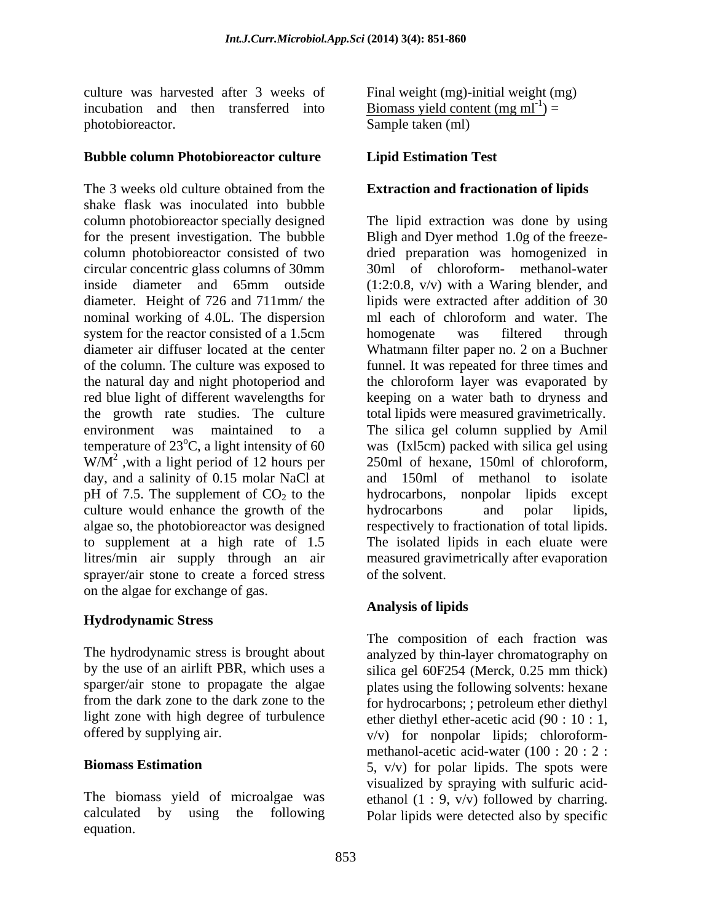culture was harvested after 3 weeks of Final weight (mg)-initial weight (mg) incubation and then transferred into Biomass yield content  $(mg \text{ ml}^{-1})$  = photobioreactor. Sample taken (ml)

## **Bubble column Photobioreactor culture**

The 3 weeks old culture obtained from the **Extraction and fractionation of lipids** shake flask was inoculated into bubble circular concentric glass columns of 30mm nominal working of 4.0L. The dispersion and each of chloroform and water. The system for the reactor consisted of a 1.5cm homogenate was filtered through  $W/M<sup>2</sup>$ , with a light period of 12 hours per day, and a salinity of 0.15 molar NaCl at pH of 7.5. The supplement of  $CO<sub>2</sub>$  to the hydrocarbons, nonpolar lipids except culture would enhance the growth of the hydrocarbons and polar lipids, to supplement at a high rate of 1.5 sprayer/air stone to create a forced stress of the solvent. on the algae for exchange of gas.

## **Hydrodynamic Stress**

calculated by using the following Polar lipids were detected also by specificequation.

 $) =$ Sample taken (ml)

## **Lipid Estimation Test**

## **Extraction and fractionation of lipids**

column photobioreactor specially designed The lipid extraction was done by using for the present investigation. The bubble Bligh and Dyer method 1.0g of the freeze column photobioreactor consisted of two dried preparation was homogenized in inside diameter and  $65 \text{mm}$  outside  $(1:2:0.8, v/v)$  with a Waring blender, and diameter. Height of 726 and 711mm/ the lipids were extracted after addition of 30 diameter air diffuser located at the center Whatmann filter paper no. 2 on a Buchner of the column. The culture was exposed to funnel. It was repeated for three times and the natural day and night photoperiod and the chloroform layer was evaporated by red blue light of different wavelengths for keeping on a water bath to dryness and the growth rate studies. The culture total lipids were measured gravimetrically. environment was maintained to a The silica gel column supplied by Amil temperature of  $23^{\circ}$ C, a light intensity of 60 was (Ixl5cm) packed with silica gel using ,with a light period of 12 hours per 250ml of hexane, 150ml of chloroform, algae so, the photobioreactor was designed respectively to fractionation of total lipids. litres/min air supply through an air measured gravimetrically after evaporation 30ml of chloroform- methanol-water (1:2:0.8, v/v) with a Waring blender, and ml each of chloroform and water. The homogenate was filtered through and 150ml of methanol to isolate hydrocarbons, nonpolar lipids hydrocarbons and polar lipids, The isolated lipids in each eluate were of the solvent.

## **Analysis of lipids**

The hydrodynamic stress is brought about analyzed by thin-layer chromatography on by the use of an airlift PBR, which uses a silica gel 60F254 (Merck, 0.25 mm thick) sparger/air stone to propagate the algae plates using the following solvents: hexane from the dark zone to the dark zone to the for hydrocarbons; ; petroleum ether diethyl light zone with high degree of turbulence ether diethyl ether-acetic acid (90 : 10 : 1, offered by supplying air. v/v) for nonpolar lipids; chloroform- **Biomass Estimation** 5, v/v) for polar lipids. The spots were The biomass yield of microalgae was ethanol (1 : 9, v/v) followed by charring. The composition of each fraction was methanol-acetic acid-water (100 : 20 : 2 : visualized by spraying with sulfuric acid-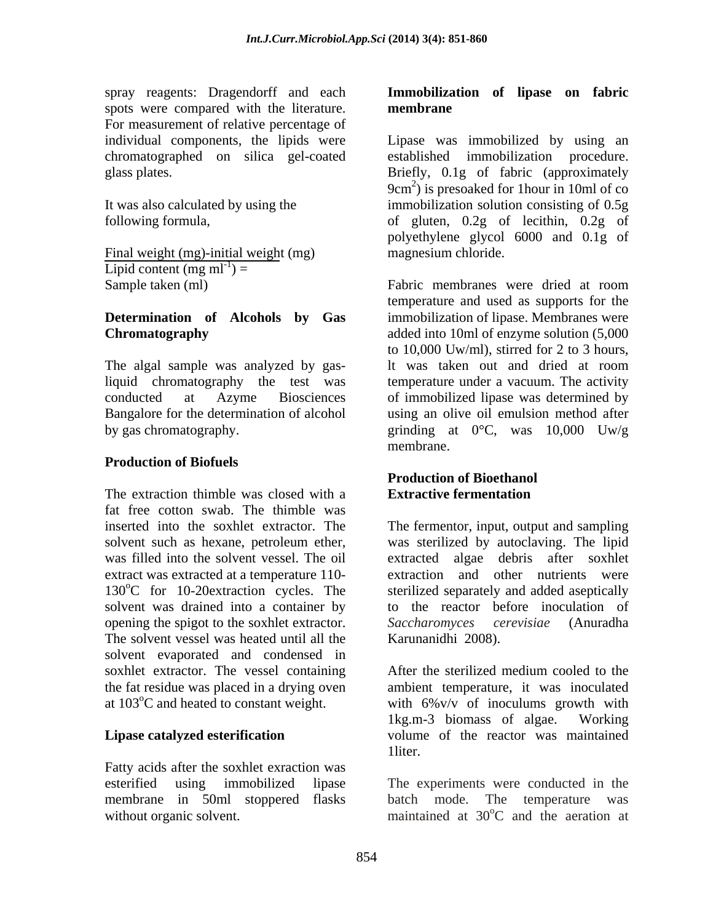spray reagents: Dragendorff and each **Immobilization of lipase on fabric** spots were compared with the literature. **membrane** For measurement of relative percentage of

Lipid content  $(mg m l<sup>-1</sup>) =$  $) =$ 

# **Determination of Alcohols by Gas**

The algal sample was analyzed by gas-<br>It was taken out and dried at room liquid chromatography the test was

## **Production of Biofuels**

The extraction thimble was closed with a **Extractive fermentation** fat free cotton swab. The thimble was solvent such as hexane, petroleum ether, solvent was drained into a container by opening the spigot to the soxhlet extractor. Saccharomyces cerevisiae (Anuradha The solvent vessel was heated until all the solvent evaporated and condensed in soxhlet extractor. The vessel containing After the sterilized medium cooled to the

Fatty acids after the soxhlet exraction was membrane in 50ml stoppered flasks batch mode. The temperature was without organic solvent.  $\mu$  maintained at 30 $\rm ^{o}C$  and the aeration at

## **membrane**

individual components, the lipids were Lipase was immobilized by using an chromatographed on silica gel-coated established immobilization procedure. glass plates. Briefly, 0.1g of fabric (approximately It was also calculated by using the immobilization solution consisting of 0.5g following formula,<br>
following formula,<br>
Final weight (mg)-initial weight (mg)<br>
Final weight (mg)-initial weight (mg)<br>
Final weight (mg)<br>
Final weight (mg)<br>
Final weight (mg) and D.1g of<br>
magnesium chloride. 9cm<sup>2</sup> ) is presoaked for 1hour in 10ml of co of gluten, 0.2g of lecithin, 0.2g of polyethylene glycol 6000 and 0.1g of magnesium chloride.

Sample taken (ml) Fabric membranes were dried at room **Chromatography** added into 10ml of enzyme solution (5,000) conducted at Azyme Biosciences of immobilized lipase was determined by Bangalore for the determination of alcohol using an olive oil emulsion method after by gas chromatography. grinding at 0°C, was 10,000 Uw/g Fabric membranes were dried at room temperature and used as supports for the immobilization of lipase. Membranes were to 10,000 Uw/ml), stirred for 2 to 3 hours, lt was taken out and dried at room temperature under a vacuum. The activity membrane.

## **Production of Bioethanol Extractive fermentation**

inserted into the soxhlet extractor. The The fermentor, input, output and sampling was filled into the solvent vessel. The oil extracted algae debris after soxhlet extract was extracted at a temperature 110- extraction and other nutrients were 130°C for 10-20 extraction cycles. The sterilized separately and added aseptically was sterilized by autoclaving. The lipid to the reactor before inoculation of *Saccharomyces cerevisiae* (Anuradha Karunanidhi 2008).

the fat residue was placed in a drying oven ambient temperature, it was inoculated at  $103^{\circ}$ C and heated to constant weight. with  $6\%$  v/v of inoculums growth with **Lipase catalyzed esterification** volume of the reactor was maintained After the sterilized medium cooled to the 1kg.m-3 biomass of algae. Working 1liter.

esterified using immobilized lipase The experiments were conducted in the batch mode. The temperature was oC and the aeration at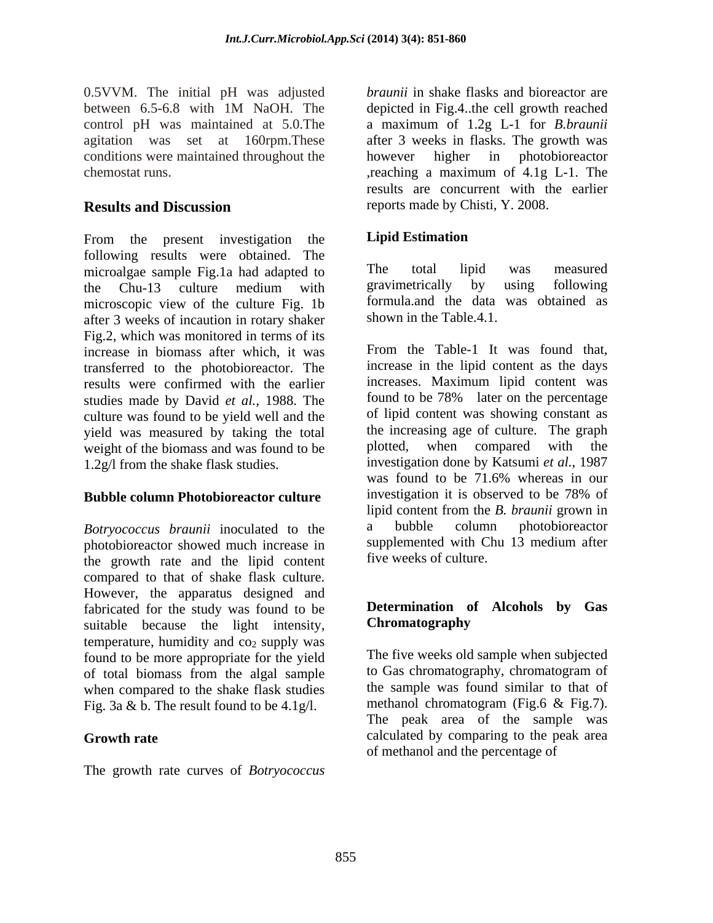0.5VVM. The initial pH was adjusted control pH was maintained at 5.0. The a maximum of 1.2g L-1 for *B.braunii* agitation was set at 160rpm. These after 3 weeks in flasks. The growth was conditions were maintained throughout the however higher in photobioreactor

From the present investigation the Lipid Estimation following results were obtained. The<br>microalgae.sample. Fig. 1a had adapted to The total lipid was measured microalgae sample Fig.1a had adapted to The total lipid was measured<br>the Chu-13 culture medium with gravimetrically by using following the Chu-13 culture medium with gravimetrically by using following microscopic view of the culture Fig. 1b after 3 weeks of incaution in rotary shaker Fig.2, which was monitored in terms of its increase in biomass after which, it was transferred to the photobioreactor. The results were confirmed with the earlier studies made by David *et al.,* 1988. The culture was found to be yield well and the yield was measured by taking the total the increasing age of culture. The graph weight of the biomass and was found to be plotted, when compared with the weight of the biomass and was found to be

photobioreactor showed much increase in the growth rate and the lipid content compared to that of shake flask culture. However, the apparatus designed and fabricated for the study was found to be<br>suitable because the light intensity<br>Chromatography suitable because the light intensity, **Chromatography**<br>temperature, humidity and co<sub>2</sub> supply was found to be more appropriate for the yield of total biomass from the algal sample when compared to the shake flask studies Fig. 3a & b. The result found to be 4.1g/l.

The growth rate curves of *Botryococcus* 

between 6.5-6.8 with 1M NaOH. The depicted in Fig.4. the cell growth reached chemostat runs. ,reaching a maximum of 4.1g L-1. The **Results and Discussion** reports made by Chisti, Y. 2008. *braunii* in shake flasks and bioreactor are depicted in Fig.4..the cell growth reached <sup>a</sup> maximum of 1.2g L-1 for *B.braunii* after <sup>3</sup> weeks in flasks. The growth was however higher in photobioreactor results are concurrent with the earlier reports made by Chisti, Y. 2008.

## **Lipid Estimation**

The total lipid was measured gravimetrically by using following formula.and the data was obtained as shown in the Table.4.1.

1.2g/l from the shake flask studies.<br>was found to be 71.6% whereas in our<br>our **Bubble column Photobioreactor culture** investigation it is observed to be 78% of *Botryococcus braunii* inoculated to the From the Table-1 It was found that, increase in the lipid content as the days increases. Maximum lipid content was found to be 78% later on the percentage of lipid content was showing constant as the increasing age of culture. The graph plotted, when compared with the investigation done by Katsumi *et al.,* 1987 was found to be 71.6% whereas in our investigation it is observed to be 78% of lipid content from the *B. braunii* grown in a bubble column photobioreactor supplemented with Chu 13 medium after five weeks of culture.

## **Determination of Alcohols by Gas Chromatography**

Growth rate **Growth** rate calculated by comparing to the peak area The five weeks old sample when subjected to Gas chromatography, chromatogram of the sample was found similar to that of methanol chromatogram (Fig.6 & Fig.7). The peak area of the sample was of methanol and the percentage of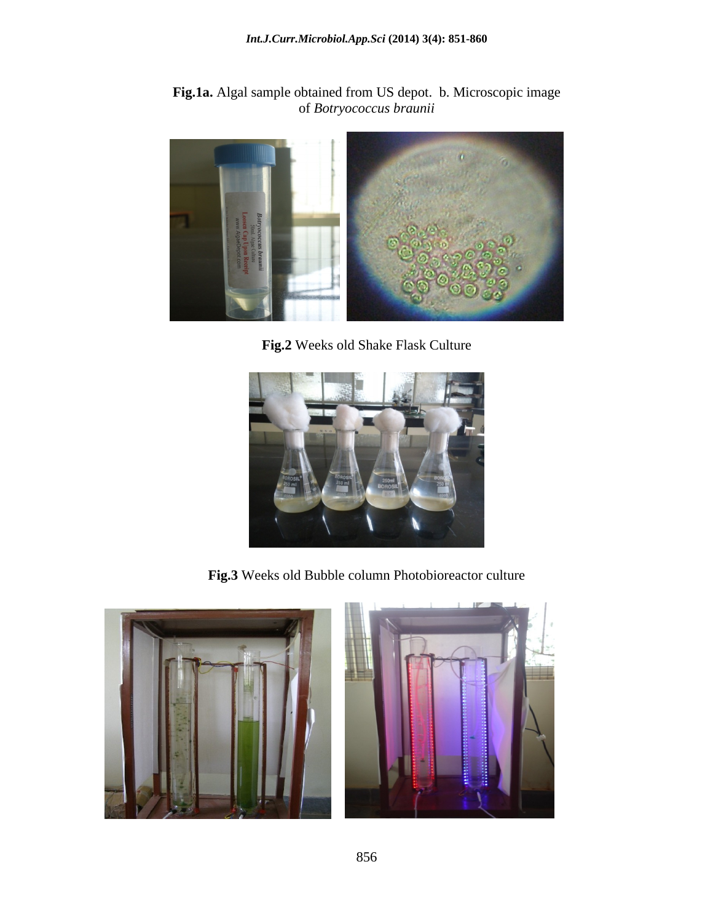**Fig.1a.** Algal sample obtained from US depot. b. Microscopic image of *Botryococcus braunii*



**Fig.2** Weeks old Shake Flask Culture



**Fig.3** Weeks old Bubble column Photobioreactor culture



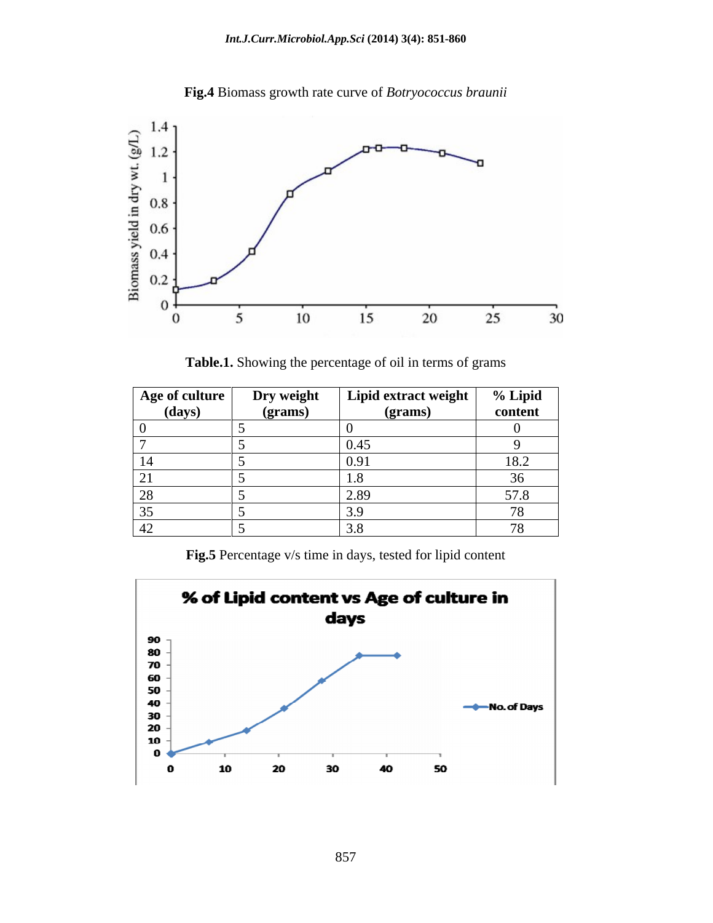

**Fig.4** Biomass growth rate curve of *Botryococcus braunii*

**Table.1.** Showing the percentage of oil in terms of grams

| Age of culture | Dry weight | Lipid extract weight   % Lipid |                                        |
|----------------|------------|--------------------------------|----------------------------------------|
| (days)         | (grams)    | (grams)                        | content                                |
|                |            |                                |                                        |
|                |            | U.43                           |                                        |
|                |            | $\mid$ 0.91                    | 18.2                                   |
| $\angle$ 1     |            |                                | 36 <sup>2</sup><br>J U                 |
| 28             |            | 2.89                           | 57.8                                   |
| 35             |            |                                | 78                                     |
| 42             |            | し・し                            | $\overline{\phantom{a}}$<br>$\sqrt{0}$ |

**Fig.5** Percentage v/s time in days, tested for lipid content

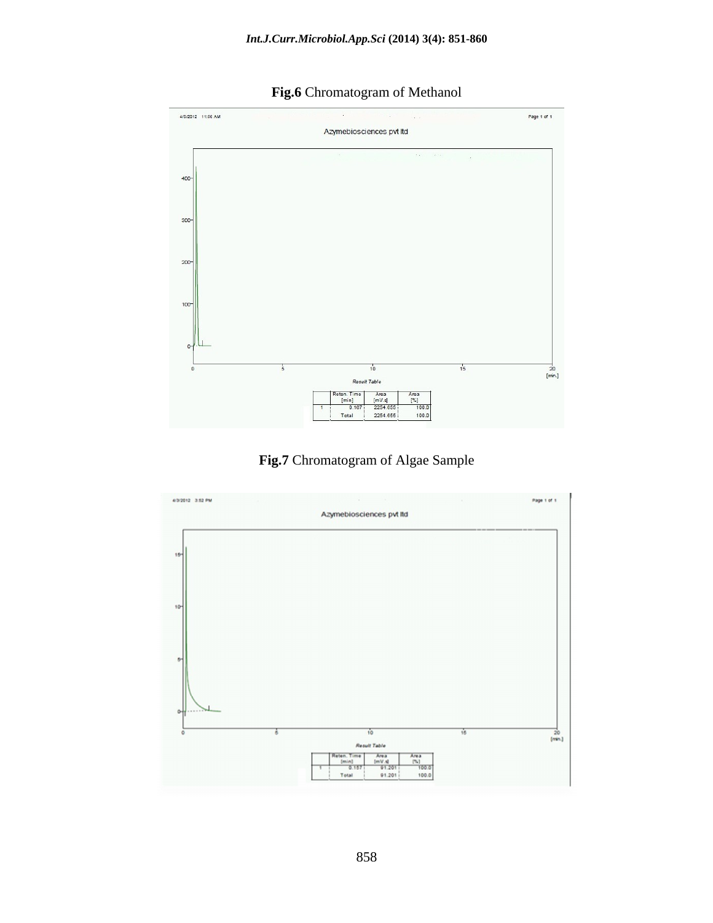

## **Fig.6** Chromatogram of Methanol



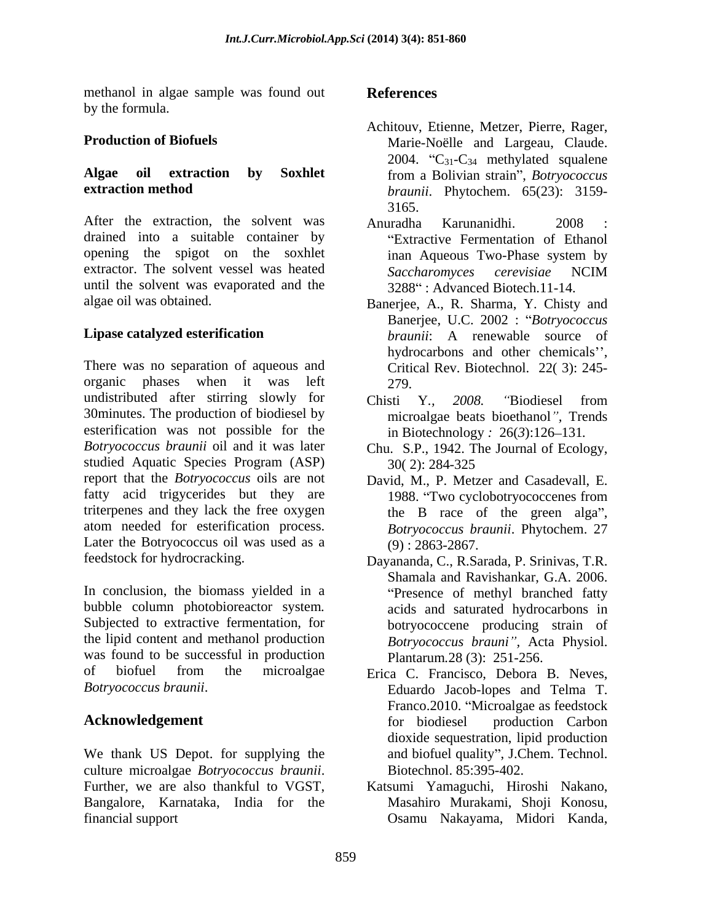methanol in algae sample was found out **References** by the formula.

After the extraction, the solvent was Anuradha Karunanidhi. 2008 drained into a suitable container by opening the spigot on the soxhlet extractor. The solvent vessel was heated Saccharomyces cerevisiae NCIM until the solvent was evaporated and the

There was no separation of aqueous and organic phases when it was left undistributed after stirring slowly for Chisti Y 2008 "Biodiesel from 30minutes. The production of biodiesel by esterification was not possible for the *Botryococcus braunii* oil and it was later Chu. S.P., 1942. The Journal of Ecology, studied Aquatic Species Program (ASP) 30(2): 284-325 report that the *Botryococcus* oils are not David, M., P. Metzer and Casadevall, E. fatty acid trigycerides but they are 1988. Two cyclobotryococcenes from triterpenes and they lack the free oxygen atom needed for esterification process. Botrvococcus braunii. Phytochem. 27 Later the Botryococcus oil was used as a  $(9): 2863-2867$ .

In conclusion, the biomass yielded in a bubble column photobioreactor system*.* Subjected to extractive fermentation, for the lipid content and methanol production was found to be successful in production of biofuel from the microalgae Erica C. Francisco, Debora B. Neves,

We thank US Depot. for supplying the culture microalgae *Botryococcus braunii*. Further, we are also thankful to VGST, Bangalore, Karnataka, India for the financial support Osamu Nakayama, Midori Kanda,

## **References**

- **Production of Biofuels** Marie-Noëlle and Largeau, Claude. Algae oil extraction by Soxhlet **the from a Bolivian strain**", *Botryococcus* **extraction method** *braunii*. Phytochem. 65(23): 3159- Achitouv, Etienne, Metzer, Pierre, Rager, 2004.  $C_{31}$ -C<sub>34</sub> methylated squalene 3165.
	- Anuradha Karunanidhi. 2008 : Extractive Fermentation of Ethanol inan Aqueous Two-Phase system by *Saccharomyces cerevisiae* NCIM 3288": Advanced Biotech.11-14.
- algae oil was obtained. Banerjee, A., R. Sharma, Y. Chisty and **Lipase catalyzed esterification** *braunii*: A renewable source of Banerjee, U.C. 2002 : *Botryococcus*  hydrocarbons and other chemicals", Critical Rev. Biotechnol. 22( 3): 245- 279.
	- Chisti Y*., 2008.* Biodiesel from microalgae beats bioethanol *,* Trends in Biotechnology :  $26(3)$ :126–131.
	- 30( 2): 284-325
	- 1988. "Two cyclobotryococcenes from the  $B$  race of the green alga", *Botryococcus braunii*. Phytochem. 27 (9) : 2863-2867.
- feedstock for hydrocracking. Dayananda, C., R.Sarada, P. Srinivas, T.R. Shamala and Ravishankar, G.A. 2006. Presence of methyl branched fatty acids and saturated hydrocarbons in botryococcene producing strain of *Botryococcus brauni ,* Acta Physiol. Plantarum*.*28 (3): 251-256.
- *Botryococcus braunii*. Eduardo Jacob-lopes and Telma T. **Acknowledgement and the contract of the contract of the contract of the contract of the contract of the contract of the contract of the contract of the contract of the contract of the contract of the contract of the con** Franco.2010. "Microalgae as feedstock for biodiesel production Carbon dioxide sequestration, lipid production and biofuel quality", J.Chem. Technol. Biotechnol. 85:395-402.
	- Katsumi Yamaguchi, Hiroshi Nakano, Masahiro Murakami, Shoji Konosu,